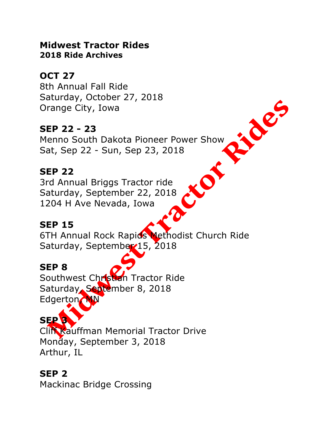#### **Midwest Tractor Rides 2018 Ride Archives**

## **OCT 27**

8th Annual Fall Ride Saturday, October 27, 2018 Orange City, Iowa

## **SEP 22 - 23**

Menno South Dakota Pioneer Power Show Sat, Sep 22 - Sun, Sep 23, 2018

Rioter

KO

## **SEP 22**

3rd Annual Briggs Tractor ride Saturday, September 22, 2018 1204 H Ave Nevada, Iowa

#### **SEP 15**

6TH Annual Rock Rapids Methodist Church Ride Saturday, September 15, 2018

## **SEP 8**

Southwest Christian Tractor Ride Saturday, September 8, 2018 Edgerton, MN

# **SEP 3**

Cliff Kauffman Memorial Tractor Drive Monday, September 3, 2018 Arthur, IL

# **SEP 2**

Mackinac Bridge Crossing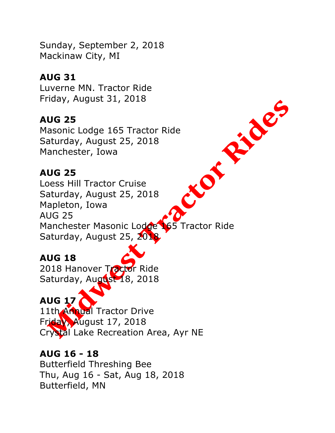Sunday, September 2, 2018 Mackinaw City, MI

## **AUG 31**

Luverne MN. Tractor Ride Friday, August 31, 2018

## **AUG 25**

Saturday, August 25, 2018 Manchester, Iowa

## **AUG 25**

Masonic Lodge 165 Tractor Ride<br>Saturday, August 25, 2018<br>Manchester, Iowa<br>**AUG 25**<br>Loess Hill Tractor Cruit Saturday, August 2018 Loess Hill Tractor Cruise Saturday, August 25, 2018 Mapleton, Iowa AUG 25 Manchester Masonic Lodge 165 Tractor Ride Saturday, August 25, 2018

## **AUG 18**

2018 Hanover Tractor Ride Saturday, August 18, 2018

## **AUG 17**

11th Annual Tractor Drive Friday, August 17, 2018 Crystal Lake Recreation Area, Ayr NE

#### **AUG 16 - 18**

Butterfield Threshing Bee Thu, Aug 16 - Sat, Aug 18, 2018 Butterfield, MN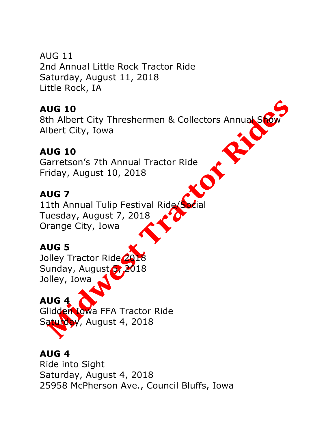AUG 11 2nd Annual Little Rock Tractor Ride Saturday, August 11, 2018 Little Rock, IA

## **AUG 10**

8th Albert City Threshermen & Collectors Annual Show Albert City, Iowa

# **AUG 10**

Garretson's 7th Annual Tractor Ride Friday, August 10, 2018

# **AUG 7**

11th Annual Tulip Festival Ride/Social Tuesday, August 7, 2018 Orange City, Iowa

# **AUG 5**

Jolley Tractor Ride<sup>20</sup> Sunday, August 5, 2018 Jolley, Iowa

# **AUG 4**

Glidden Iowa FFA Tractor Ride Saturday, August 4, 2018

## **AUG 4**

Ride into Sight Saturday, August 4, 2018 25958 McPherson Ave., Council Bluffs, Iowa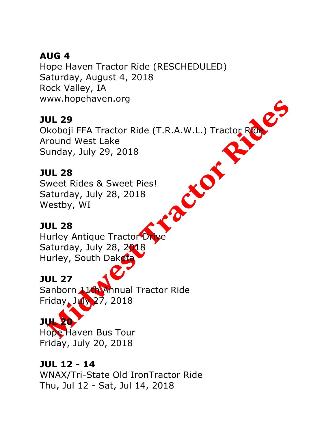## **AUG 4**

Hope Haven Tractor Ride (RESCHEDULED) Saturday, August 4, 2018 Rock Valley, IA www.hopehaven.org

## **JUL 29**

Okoboji FFA Tractor Ride (T.R.A.W.L.) Tractor Ride. Around West Lake Sunday, July 29, 2018

Cro

20

## **JUL 28**

Sweet Rides & Sweet Pies! Saturday, July 28, 2018 Westby, WI

## **JUL 28**

Hurley Antique Tractor Dr Saturday, July 28, 2018 Hurley, South Dakota

## **JUL 27**

Sanborn 11th Annual Tractor Ride Friday, July 27, 2018

# **JUL 20**

Hope Haven Bus Tour Friday, July 20, 2018

# **JUL 12 - 14**

WNAX/Tri-State Old IronTractor Ride Thu, Jul 12 - Sat, Jul 14, 2018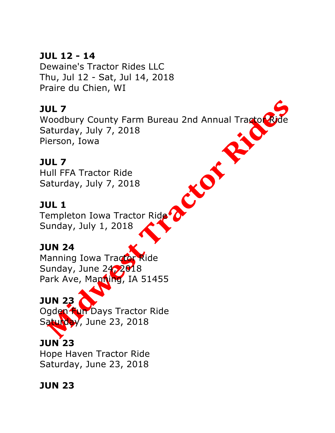## **JUL 12 - 14**

Dewaine's Tractor Rides LLC Thu, Jul 12 - Sat, Jul 14, 2018 Praire du Chien, WI

## **JUL 7**

Woodbury County Farm Bureau 2nd Annual Tractor Ride Saturday, July 7, 2018 Pierson, Iowa

J

#### **JUL 7**

Hull FFA Tractor Ride Saturday, July 7, 2018

## **JUL 1**

Templeton Iowa Tractor Ride Sunday, July 1, 2018

## **JUN 24**

Manning Iowa Tractor Ride Sunday, June 24, 2018 Park Ave, Manning, IA 51455

## **JUN 23**

Ogden **Fun** Days Tractor Ride Saturday, June 23, 2018

# **JUN 23**

Hope Haven Tractor Ride Saturday, June 23, 2018

## **JUN 23**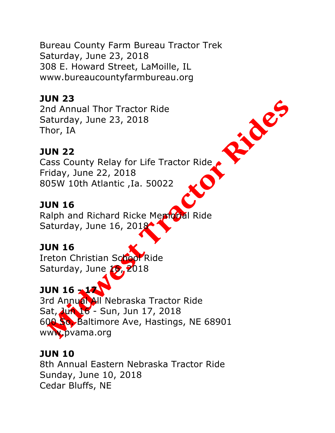Bureau County Farm Bureau Tractor Trek Saturday, June 23, 2018 308 E. Howard Street, LaMoille, IL www.bureaucountyfarmbureau.org

## **JUN 23**

2nd Annual Thor Tractor Ride Saturday, June 23, 2018 Thor, IA

## **JUN 22**

Cass County Relay for Life Tractor Ride Friday, June 22, 2018 805W 10th Atlantic ,Ia. 50022

## **JUN 16**

Ralph and Richard Ricke Menopal Ride Saturday, June 16, 2018

## **JUN 16**

Ireton Christian School Ride Saturday, June  $19, 2018$ 

# **JUN 16 - 17**

3rd Annual All Nebraska Tractor Ride Sat, Jun 16 - Sun, Jun 17, 2018 600 So. Baltimore Ave, Hastings, NE 68901 www.pvama.org

## **JUN 10**

8th Annual Eastern Nebraska Tractor Ride Sunday, June 10, 2018 Cedar Bluffs, NE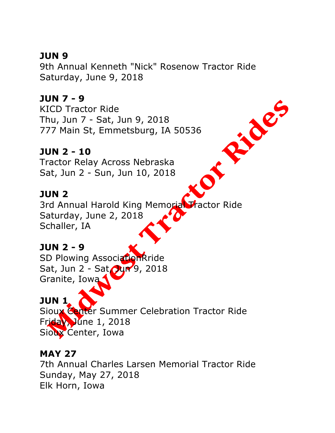## **JUN 9**

9th Annual Kenneth "Nick" Rosenow Tractor Ride Saturday, June 9, 2018

P. des

#### **JUN 7 - 9**

KICD Tractor Ride Thu, Jun 7 - Sat, Jun 9, 2018 777 Main St, Emmetsburg, IA 50536

#### **JUN 2 - 10**

Tractor Relay Across Nebraska Sat, Jun 2 - Sun, Jun 10, 2018

#### **JUN 2**

3rd Annual Harold King Memorial Tractor Ride Saturday, June 2, 2018 Schaller, IA

#### **JUN 2 - 9**

SD Plowing AssociationRride Sat, Jun 2 - Sat Dur 9, 2018 Granite, Iowa

#### **JUN 1**

Sioux Center Summer Celebration Tractor Ride Friday, June 1, 2018 Sioux Center, Iowa

#### **MAY 27**

7th Annual Charles Larsen Memorial Tractor Ride Sunday, May 27, 2018 Elk Horn, Iowa